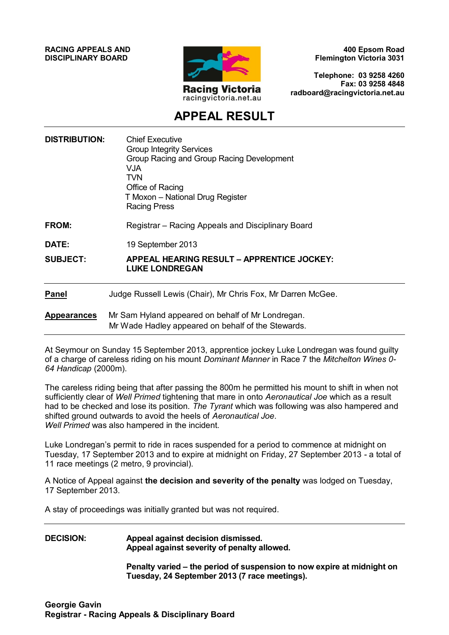**RACING APPEALS AND DISCIPLINARY BOARD**



**400 Epsom Road Flemington Victoria 3031**

**Telephone: 03 9258 4260 Fax: 03 9258 4848 radboard@racingvictoria.net.au**

# **APPEAL RESULT**

| <b>DISTRIBUTION:</b> | <b>Chief Executive</b><br><b>Group Integrity Services</b><br>Group Racing and Group Racing Development<br><b>VJA</b><br><b>TVN</b><br>Office of Racing<br>T Moxon - National Drug Register<br><b>Racing Press</b> |
|----------------------|-------------------------------------------------------------------------------------------------------------------------------------------------------------------------------------------------------------------|
| FROM:                | Registrar – Racing Appeals and Disciplinary Board                                                                                                                                                                 |
| DATE:                | 19 September 2013                                                                                                                                                                                                 |
| <b>SUBJECT:</b>      | APPEAL HEARING RESULT - APPRENTICE JOCKEY:<br><b>LUKE LONDREGAN</b>                                                                                                                                               |
| <b>Panel</b>         | Judge Russell Lewis (Chair), Mr Chris Fox, Mr Darren McGee.                                                                                                                                                       |
| <b>Appearances</b>   | Mr Sam Hyland appeared on behalf of Mr Londregan.<br>Mr Wade Hadley appeared on behalf of the Stewards.                                                                                                           |

At Seymour on Sunday 15 September 2013, apprentice jockey Luke Londregan was found guilty of a charge of careless riding on his mount *Dominant Manner* in Race 7 the *Mitchelton Wines 0- 64 Handicap* (2000m).

The careless riding being that after passing the 800m he permitted his mount to shift in when not sufficiently clear of *Well Primed* tightening that mare in onto *Aeronautical Joe* which as a result had to be checked and lose its position. *The Tyrant* which was following was also hampered and shifted ground outwards to avoid the heels of *Aeronautical Joe*. *Well Primed* was also hampered in the incident.

Luke Londregan's permit to ride in races suspended for a period to commence at midnight on Tuesday, 17 September 2013 and to expire at midnight on Friday, 27 September 2013 - a total of 11 race meetings (2 metro, 9 provincial).

A Notice of Appeal against **the decision and severity of the penalty** was lodged on Tuesday, 17 September 2013.

A stay of proceedings was initially granted but was not required.

#### **DECISION: Appeal against decision dismissed. Appeal against severity of penalty allowed.**

**Penalty varied – the period of suspension to now expire at midnight on Tuesday, 24 September 2013 (7 race meetings).**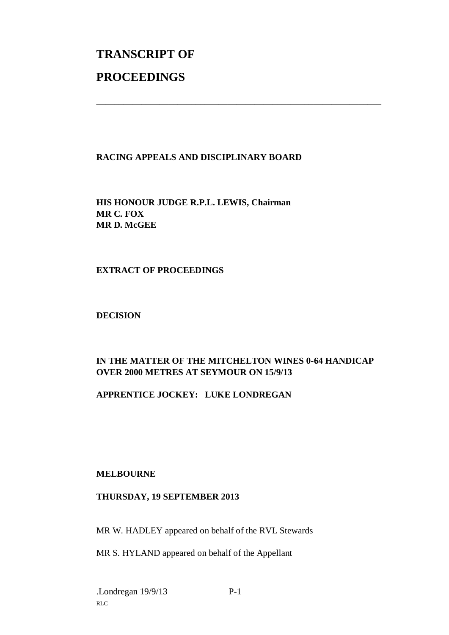# **TRANSCRIPT OF PROCEEDINGS**

# **RACING APPEALS AND DISCIPLINARY BOARD**

\_\_\_\_\_\_\_\_\_\_\_\_\_\_\_\_\_\_\_\_\_\_\_\_\_\_\_\_\_\_\_\_\_\_\_\_\_\_\_\_\_\_\_\_\_\_\_\_\_\_\_\_\_\_\_\_\_\_\_\_\_\_\_

**HIS HONOUR JUDGE R.P.L. LEWIS, Chairman MR C. FOX MR D. McGEE**

# **EXTRACT OF PROCEEDINGS**

#### **DECISION**

# **IN THE MATTER OF THE MITCHELTON WINES 0-64 HANDICAP OVER 2000 METRES AT SEYMOUR ON 15/9/13**

# **APPRENTICE JOCKEY: LUKE LONDREGAN**

# **MELBOURNE**

#### **THURSDAY, 19 SEPTEMBER 2013**

MR W. HADLEY appeared on behalf of the RVL Stewards

MR S. HYLAND appeared on behalf of the Appellant